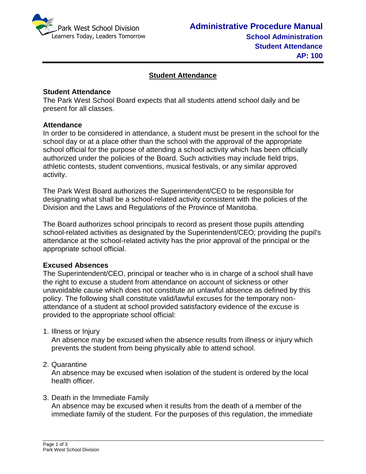

# **Student Attendance**

# **Student Attendance**

The Park West School Board expects that all students attend school daily and be present for all classes.

### **Attendance**

In order to be considered in attendance, a student must be present in the school for the school day or at a place other than the school with the approval of the appropriate school official for the purpose of attending a school activity which has been officially authorized under the policies of the Board. Such activities may include field trips, athletic contests, student conventions, musical festivals, or any similar approved activity.

The Park West Board authorizes the Superintendent/CEO to be responsible for designating what shall be a school-related activity consistent with the policies of the Division and the Laws and Regulations of the Province of Manitoba.

The Board authorizes school principals to record as present those pupils attending school-related activities as designated by the Superintendent/CEO; providing the pupil's attendance at the school-related activity has the prior approval of the principal or the appropriate school official.

#### **Excused Absences**

The Superintendent/CEO, principal or teacher who is in charge of a school shall have the right to excuse a student from attendance on account of sickness or other unavoidable cause which does not constitute an unlawful absence as defined by this policy. The following shall constitute valid/lawful excuses for the temporary nonattendance of a student at school provided satisfactory evidence of the excuse is provided to the appropriate school official:

1. Illness or Injury

An absence may be excused when the absence results from illness or injury which prevents the student from being physically able to attend school.

2. Quarantine

An absence may be excused when isolation of the student is ordered by the local health officer.

3. Death in the Immediate Family

An absence may be excused when it results from the death of a member of the immediate family of the student. For the purposes of this regulation, the immediate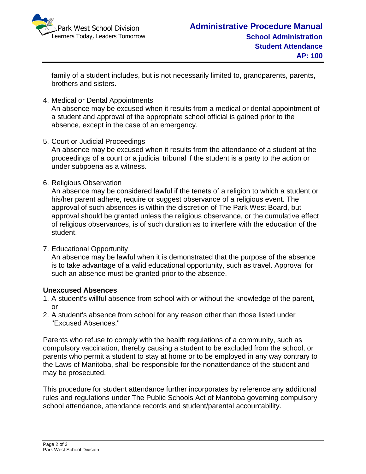

family of a student includes, but is not necessarily limited to, grandparents, parents, brothers and sisters.

4. Medical or Dental Appointments

An absence may be excused when it results from a medical or dental appointment of a student and approval of the appropriate school official is gained prior to the absence, except in the case of an emergency.

5. Court or Judicial Proceedings

An absence may be excused when it results from the attendance of a student at the proceedings of a court or a judicial tribunal if the student is a party to the action or under subpoena as a witness.

6. Religious Observation

An absence may be considered lawful if the tenets of a religion to which a student or his/her parent adhere, require or suggest observance of a religious event. The approval of such absences is within the discretion of The Park West Board, but approval should be granted unless the religious observance, or the cumulative effect of religious observances, is of such duration as to interfere with the education of the student.

7. Educational Opportunity

An absence may be lawful when it is demonstrated that the purpose of the absence is to take advantage of a valid educational opportunity, such as travel. Approval for such an absence must be granted prior to the absence.

# **Unexcused Absences**

- 1. A student's willful absence from school with or without the knowledge of the parent, or
- 2. A student's absence from school for any reason other than those listed under "Excused Absences."

Parents who refuse to comply with the health regulations of a community, such as compulsory vaccination, thereby causing a student to be excluded from the school, or parents who permit a student to stay at home or to be employed in any way contrary to the Laws of Manitoba, shall be responsible for the nonattendance of the student and may be prosecuted.

This procedure for student attendance further incorporates by reference any additional rules and regulations under The Public Schools Act of Manitoba governing compulsory school attendance, attendance records and student/parental accountability.